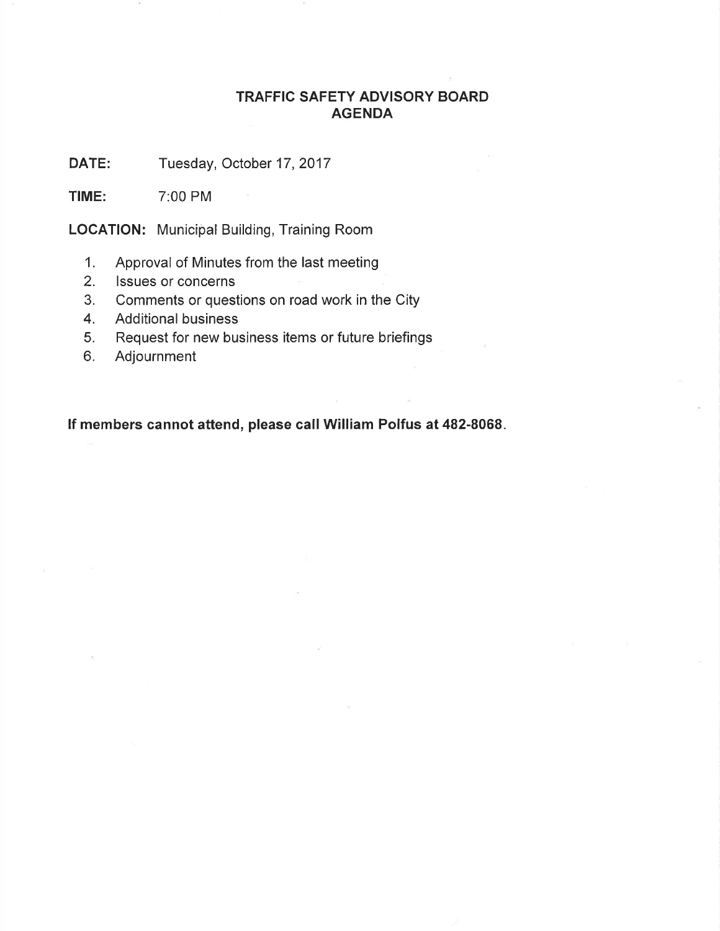### TRAFFIC SAFETY ADVISORY BOARD AGENDA

DATE: Tuesday, October 17, 2017

TIME: 7:00 PM

LOCATION: Municipal Building, Training Room

- 1. Approval of Minutes from the last meeting
- 2. lssues or concerns
- 3. Comments or questions on road work in the City
- 4. Additional business
- 5. Request for new business items or future briefings
- 6. Adjournment

lf members cannot attend, please call William Polfus at 482-8068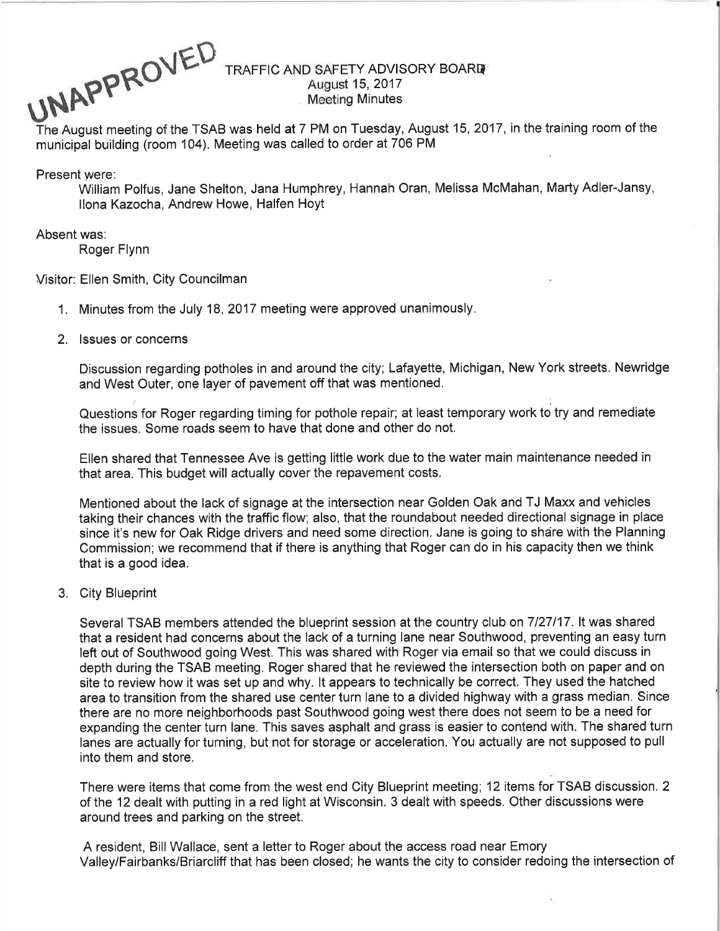UNAPPROVED ED TRAFFIC AND SAFETY ADVISORY BOARD

# August 15, 2017<br>Meeting Minutes

The August meeting of the TSAB was held at 7 PM on Tuesday, August 15,2017, in the training room of the municipal building (room 104). Meeting was called to order at 706 PM

Present were:

William Polfus, Jane Shelton, Jana Humphrey, Hannah Oran, Melissa McMahan, Marty Adler-Jansy, llona Kazocha, Andrew Howe, Halfen Hoyt

#### Absent was:

Roger Flynn

Visitor: Ellen Smith, City Councilman

- 1. Minutes from the July 18, 2017 meeting were approved unanimously.
- 2. lssues or concerns

Discussion regarding potholes in and around the city; Lafayette, Michigan, New York streets. Newridge and West Outer, one layer of pavement off that was mentioned.

Questions for Roger regarding timing for pothole repair; at least temporary work to try and remediate the issues. Some roads seem to have that done and other do not.

Ellen shared that Tennessee Ave is getting little work due to the water main maintenance needed in that area. This budget will actually cover the repavement costs.

Mentioned about the lack of signage at the intersection near Golden Oak and TJ Maxx and vehicles taking their chances with the traffic flow; also, that the roundabout needed directional signage in place since it's new for Oak Ridge drivers and need some direction. Jane is going to share with the Planning Commission; we recommend that if there is anything that Roger can do in his capacity then we think that is a good idea.

3. City Blueprint

Several TSAB members attended the blueprint session at the country club on 7127117. lt was shared that a resident had concerns about the lack of a turning lane near Southwood, preventing an easy turn left out of Southwood going West. This was shared with Roger via email so that we could discuss in depth during the TSAB meeting. Roger shared that he reviewed the intersection both on paper and on site to review how it was set up and why. lt appears to technically be correct. They used the hatched area to transition from the shared use center turn lane to a divided highway with a grass median. Since there are no more neighborhoods past Southwood going west there does not seem to be a need for expanding the center turn lane. This saves asphalt and grass is easier to contend with. The shared turn lanes are actually for turning, but not for storage or acceleration. You actually are not supposed to pull into them and store.

There were items that come from the west end City Blueprint meeting; 12 items for TSAB discussion. 2 of the 12 dealt with putting in a red light at Wisconsin. 3 dealt with speeds. Other discussions were around trees and parking on the street.

A resident, Bill Wallace, sent a letter to Roger about the access road near Emory Valley/Fairbanks/Briarcliff that has been closed; he wants the city to consider redoing the intersection of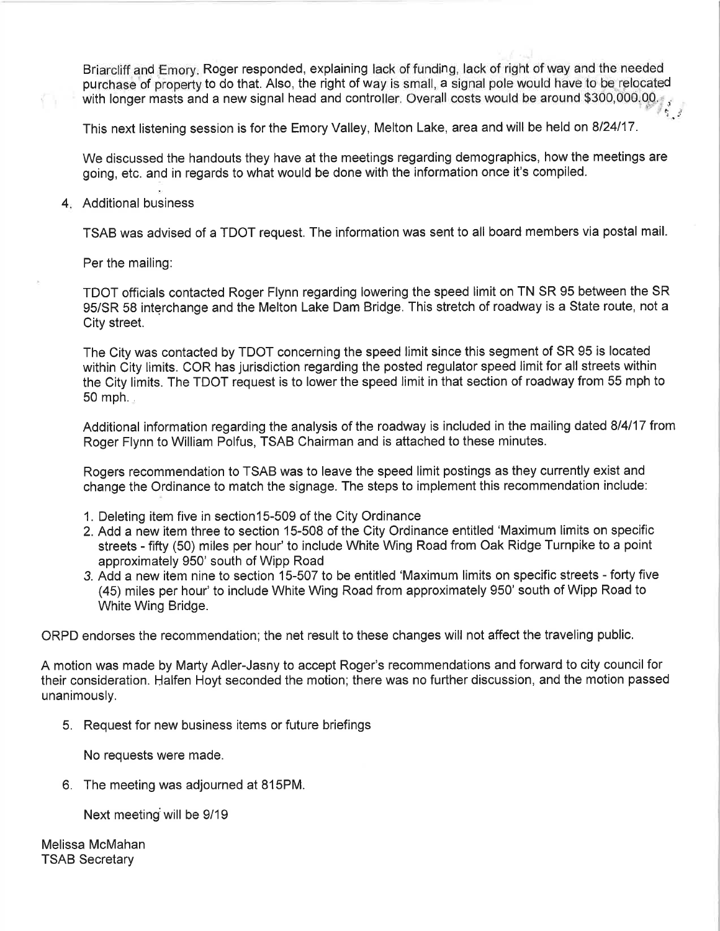Briarcliff.and Emory. Roger responded, explaining lack of funding, lack of right of way and the needed purchase of property to do that. Also, the right of way is small, a signal pole would have to be relocated with longer masts and a new signal head and controller. Overall costs would be around \$300,000.00.

This next listening session is for the Emory Valley, Melton Lake, area and will be held on 8124117.

We discussed the handouts they have at the meetings regarding demographics, how the meetings are going, etc. and in regards to what would be done with the information once it's compiled.

4 Additional business

TSAB was advised of a TDOT request. The information was sent to all board members via postal mail.

Per the mailing:

TDOT officials contacted Roger Flynn regarding lowering the speed limit on TN SR 95 between the SR 95/SR 58 interchange and the Melton Lake Dam Bridge. This stretch of roadway is a State route, not a City street.

The City was contacted by TDOT concerning the speed limit since this segment of SR 95 is located within City limits. COR has jurisdiction regarding the posted regulator speed limit for all streets within the City limits. The TDOT request is to lower the speed limit in that section of roadway from 55 mph to  $50$  mph.

Additional information regarding the analysis of the roadway is included in the mailing dated 814117 from Roger Flynn to William Polfus, TSAB Chairman and is attached to these minutes.

Rogers recommendation to TSAB was to leave the speed limit postings as they currently exist and change the Ordinance to match the signage. The steps to implement this recommendation include:

- 1. Deleting item five in section 15-509 of the City Ordinance
- 2. Add a new item three to section 15-508 of the City Ordinance entitled 'Maximum limits on specific streets - fifty (50) miles per hour' to include White Wing Road from Oak Ridge Turnpike to a point approximately 950' south of Wipp Road
- 3. Add a new item nine to section 15-507 to be entitled 'Maximum limits on specific streets forty five (45) miles per hour' to include White Wing Road from approximately 950' south of Wipp Road to White Wing Bridge.

ORPD endorses the recommendation; the net result to these changes will not atfect the traveling public.

A motion was made by Marty Adler-Jasny to accept Roger's recommendations and fonryard to city council for their consideration. Halfen Hoyt seconded the motion; there was no further discussion, and the motion passed unanimously.

5. Request for new business items or future briefings

No requests were made.

6. The meeting was adjourned at 81SPM.

Next meeting will be 9/19

Melissa McMahan TSAB Secretary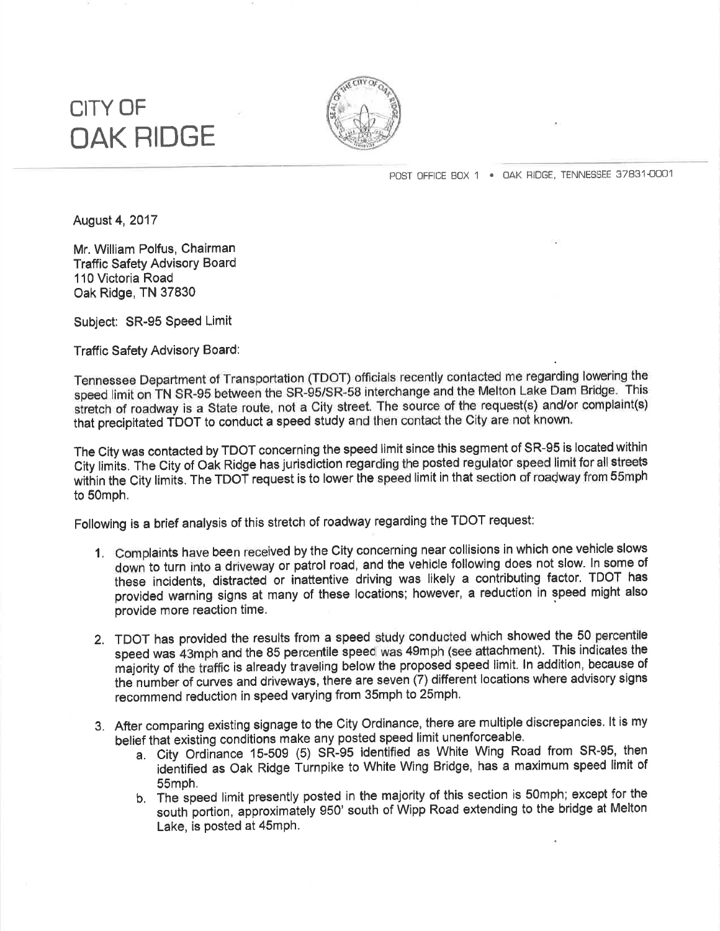## CITY OF OAK RIDGE



POST OFFICE BOX 1 . OAK RIDGE, TENNESSEE 37831-0001

August 4,2017

Mr. William Polfus, Chairman **Traffic Safety Advisory Board** 110 Victoria Road Oak Ridge, TN 37830

Subject: SR-95 Speed Limit

Traffic Safety Advisory Board:

Tennessee Department of Transportation (TDOT) officials recently contacted me regarding lowering\_the speed limit on TN SR-95 between the SR-95/SR-58 interchange and the Melton Lake Dam Bridge. This stretch of roadway is a State route, not a City street. The source of the request(s) and/or complaint(s) that precipitated TDOT to conduct a speed study and then contact the City are not known.

The City was contacted by TDOT concerning the speed limit since this segment of SR-95 is located within City limits. The City of Oak Ridge has jurisdiction regarding the posted regulator speed limit for all streets within the City limits. The TDOT request is to lower the speed limit in that section of roadway from 55mph to 50mph,

Following is a brief analysis of this stretch of roadway regarding the TDOT request:

- 1, Complaints have been received by the City concerning near collisions in which one vehicle slows down to turn into a driveway or patrol road, and the vehicle following does not slow. ln some of these incidents, distracted or inattentive driving was likely a contributing factor. TDOT has provided warning signs at many of these locations; however, a reduction in speed might also provide more reaction time.
- 2. TDOT has provided the results from a speed study conducted which showed the 50 percentile speed was 43mph and the 85 percentile speed was 49mph (see attachment). This indicates the majority of the tiaffic is already traveling below the proposed speed limit. ln addition, because of the number of curves and driveways, there are seven (7) different locations where advisory signs recommend reduction in speed varying from 35mph to 25mph.
- 3. After comparing existing signage to the City Ordinance, there are multiple discrepancies. lt is my belief that existing conditions make any posted speed limit unenforceaþle,
	- a, City Ordiñance 15-509 (5) SR-95 identified as White Wing Road from SR-95, then identified as Oak Ridge Turnpike to White Wing Bridge, has a maximum speed limit of 55mph.
	- b. The speed limit presently posted in the majority of this section is 50mph; except for the south portion, approximátely 950' south of Wipp Road extending to the bridge at Melton Lake, is posted at 45mph.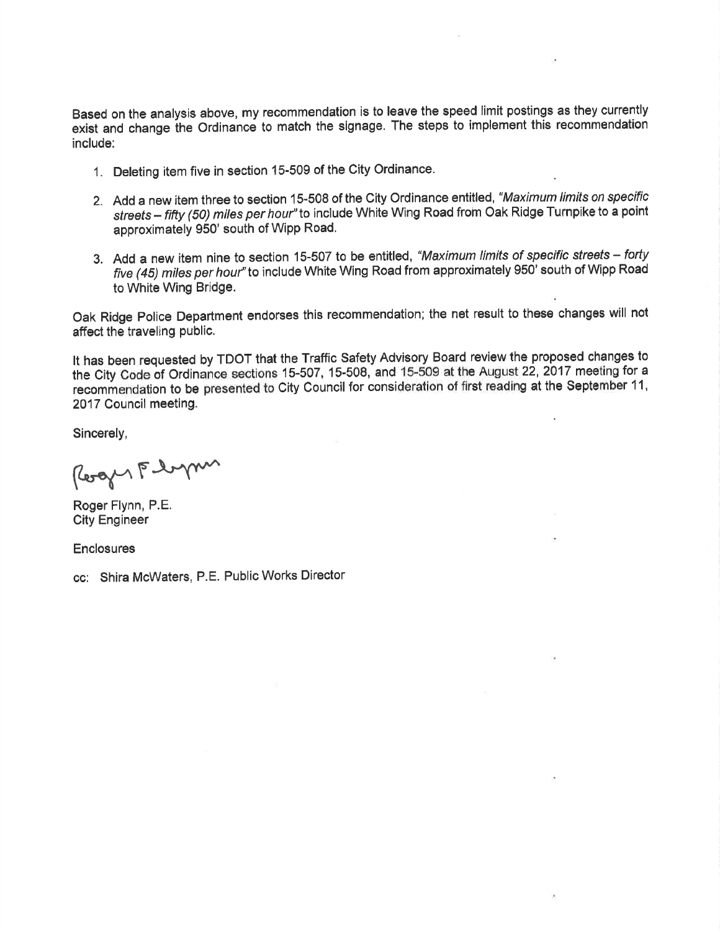Based on the analysis above, my recommendation is to leave the speed limit postings as they currently exist and change the Ordinance to match the signage. The steps to implement this recommendation include:

- 1. Deleting item five in section 15-509 of the City Ordinance.
- 2. Add a new item three to section 15-508 of the City Ordinance entitled, "Maximum limits on specific streets - fifty (50) miles per hour" to include White Wing Road from Oak Ridge Turnpike to a point approximately 950' south of Wipp Road.
- 3. Add a new item nine to section 15-507 to be entitled, "Maximum limits of specific streets forty five (45) miles per hour" to include White Wing Road from approximately 950' south of Wipp Road to White Wing Bridge.

Oak Ridge police Department endorses this recommendation; the net result to these changes will not affect the traveling public.

It has been requested by TÐOT that the Traffic Safety Advisory Board review the proposed changes to the City Code of Ordinance sections 15-507, 15-508, and 15-509 at the August 22, 2017 meeting for a recommendation to be presented to City Council for consideration of first reading at the September 11, 2017 Council meeting.

Sincerely,

Roger Flyn

Roger Flynn, P.E. City Engineer

**Enclosures** 

cc: Shira McWaters, P.E. Public Works Director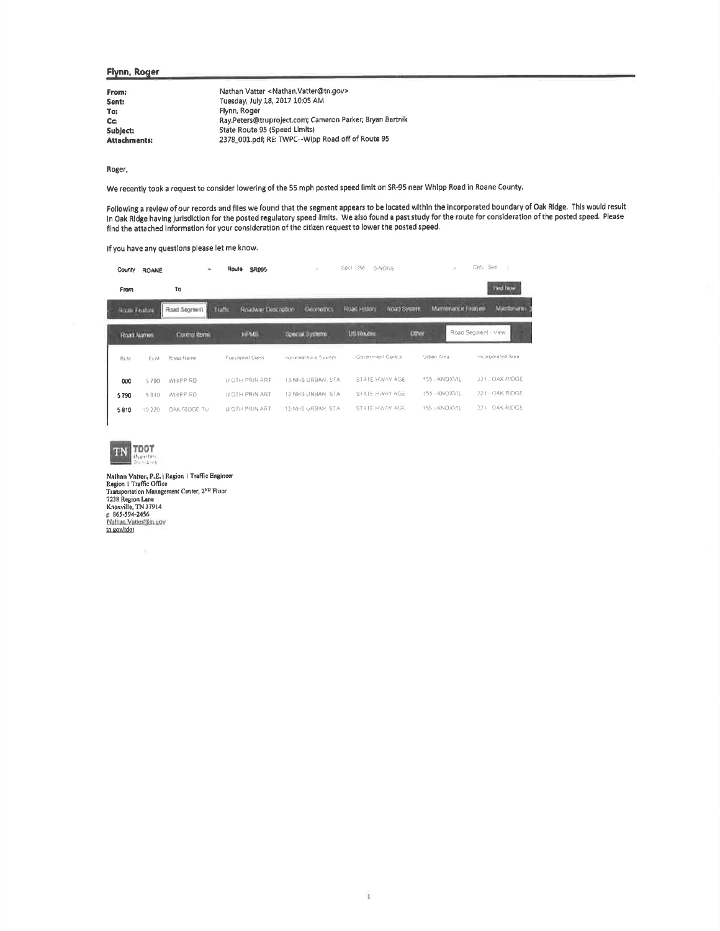#### Flynn, Roger

| From:        | Nathan Vatter < Nathan. Vatter@tn.gov>                    |
|--------------|-----------------------------------------------------------|
| Sent:        | Tuesday, July 18, 2017 10:05 AM                           |
| To:          | Flynn, Roger                                              |
| Cc:          | Ray, Peters@truproject.com; Cameron Parker; Bryan Bartnik |
| Sublect:     | State Route 95 (Speed Limits)                             |
| Attachments: | 2378_001.pdf; RE: TWPC--Wipp Road off of Route 95         |

Roger,

We recently took a request to consider lowering of the 55 mph posted speed limit on SR-95 near Whipp Road in Roane County.

Following a review of our records and files we found that the segment appears to be located within the incorporated boundary of Oak Ridge. This would result<br>In Oak Ridge having jurisdiction for the posted regulatory speed

If you have any questions please let me know.

| County<br><b>ROANE</b> |            |                      | <b>SR095</b><br>Route                | $\sim$                   | Spc1 1246<br>D-NONE                | ×                | City Sec            |
|------------------------|------------|----------------------|--------------------------------------|--------------------------|------------------------------------|------------------|---------------------|
| From                   |            | To                   |                                      |                          |                                    |                  | <b>First Time</b>   |
| Room Finance           |            | Fload Segment        | <b>HOADWAY DISCUSSION</b><br>Traffic | -Geometrics              | <b>Road System</b><br>Road History | Маториков (чилее | Matthewark+         |
| <b>Hoad Names</b>      |            | <b>Control Renni</b> | HPMS                                 | <b>Special Systems</b>   | <b>USI Noutra</b>                  | <b>Diffier</b>   | Road Segment - View |
| <b>BLM</b>             | <b>ELM</b> | Road Name            | Fonchrowl Class                      | Assourced also a System. | Gaveniment Control                 | Urban Area       | incorporated Area.  |
| 000                    | 5790       | WHIPP AD             | U OTH PRIN ART                       | 13-NHS URBANI STA        | STATE HAWAY AGE                    | 155 - KNOXVIL    | 221 - OAK RIOGE     |
| 5790                   | 5810       | WHIPP RD             | U OTH PRIN ART                       | 13 NHS URBAN STA         | STATE HWAY AGE                     | 155 KNOXVIL      | 221 - OAK RIDGE     |
| 5810                   | 10 220     | OAK RIDGE TU         | U OTH PRIN ART                       | 13-NHS URBAN STA         | STATE MWAY AGE                     | 155 - KNOXVIL    | 221 OAK RIDGE       |



 $\epsilon_{\rm c}$ 

Nathan Vatter, P.E. | Region | Traffic Engineer<br>Region | Traffic Office<br>Transportation Management Center, 2<sup>ND</sup> Floor<br>7238 Region Lane<br>Knoxville, TN 37914<br>p 865-594-2456<br>th environt Matter@itt.sov tn.gov/tdor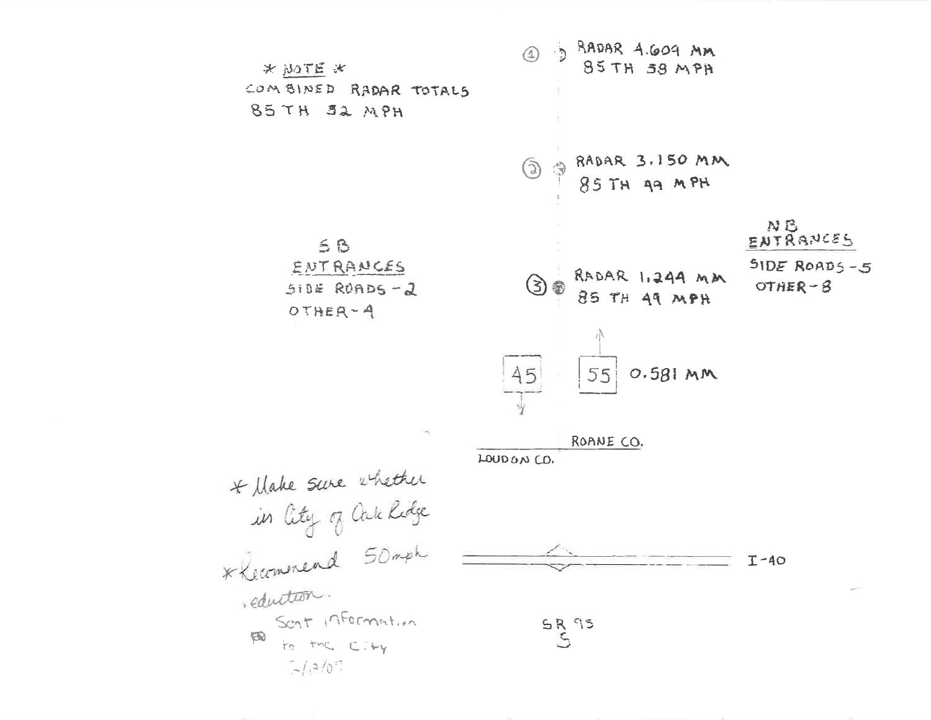